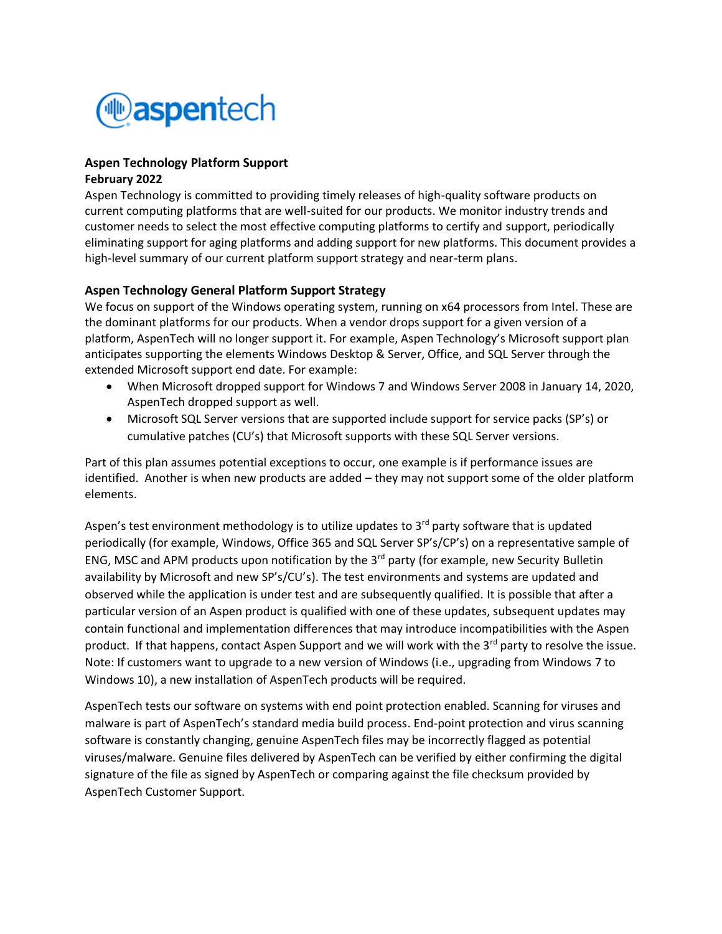

# **Aspen Technology Platform Support**

#### **February 2022**

Aspen Technology is committed to providing timely releases of high-quality software products on current computing platforms that are well-suited for our products. We monitor industry trends and customer needs to select the most effective computing platforms to certify and support, periodically eliminating support for aging platforms and adding support for new platforms. This document provides a high-level summary of our current platform support strategy and near-term plans.

### **Aspen Technology General Platform Support Strategy**

We focus on support of the Windows operating system, running on x64 processors from Intel. These are the dominant platforms for our products. When a vendor drops support for a given version of a platform, AspenTech will no longer support it. For example, Aspen Technology's Microsoft support plan anticipates supporting the elements Windows Desktop & Server, Office, and SQL Server through the extended Microsoft support end date. For example:

- When Microsoft dropped support for Windows 7 and Windows Server 2008 in January 14, 2020, AspenTech dropped support as well.
- Microsoft SQL Server versions that are supported include support for service packs (SP's) or cumulative patches (CU's) that Microsoft supports with these SQL Server versions.

Part of this plan assumes potential exceptions to occur, one example is if performance issues are identified. Another is when new products are added – they may not support some of the older platform elements.

Aspen's test environment methodology is to utilize updates to  $3<sup>rd</sup>$  party software that is updated periodically (for example, Windows, Office 365 and SQL Server SP's/CP's) on a representative sample of ENG, MSC and APM products upon notification by the  $3<sup>rd</sup>$  party (for example, new Security Bulletin availability by Microsoft and new SP's/CU's). The test environments and systems are updated and observed while the application is under test and are subsequently qualified. It is possible that after a particular version of an Aspen product is qualified with one of these updates, subsequent updates may contain functional and implementation differences that may introduce incompatibilities with the Aspen product. If that happens, contact Aspen Support and we will work with the 3<sup>rd</sup> party to resolve the issue. Note: If customers want to upgrade to a new version of Windows (i.e., upgrading from Windows 7 to Windows 10), a new installation of AspenTech products will be required.

AspenTech tests our software on systems with end point protection enabled. Scanning for viruses and malware is part of AspenTech's standard media build process. End-point protection and virus scanning software is constantly changing, genuine AspenTech files may be incorrectly flagged as potential viruses/malware. Genuine files delivered by AspenTech can be verified by either confirming the digital signature of the file as signed by AspenTech or comparing against the file checksum provided by AspenTech Customer Support.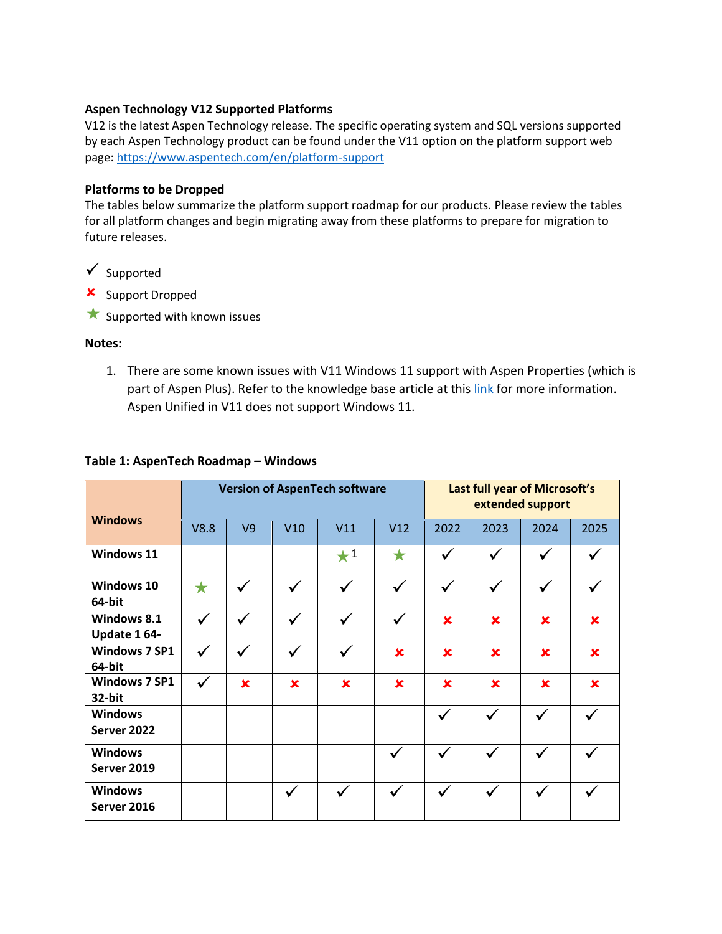#### **Aspen Technology V12 Supported Platforms**

V12 is the latest Aspen Technology release. The specific operating system and SQL versions supported by each Aspen Technology product can be found under the V11 option on the platform support web page:<https://www.aspentech.com/en/platform-support>

#### **Platforms to be Dropped**

The tables below summarize the platform support roadmap for our products. Please review the tables for all platform changes and begin migrating away from these platforms to prepare for migration to future releases.

- $\checkmark$  Supported
- **x** Support Dropped
- $\star$  Supported with known issues

#### **Notes:**

1. There are some known issues with V11 Windows 11 support with Aspen Properties (which is part of Aspen Plus). Refer to the knowledge base article at this [link](https://esupport.aspentech.com/S_Article?id=000099428) for more information. Aspen Unified in V11 does not support Windows 11.

#### **Table 1: AspenTech Roadmap – Windows**

|                                |              |              |              | <b>Version of AspenTech software</b> | Last full year of Microsoft's<br>extended support |              |                |                |              |  |
|--------------------------------|--------------|--------------|--------------|--------------------------------------|---------------------------------------------------|--------------|----------------|----------------|--------------|--|
| <b>Windows</b>                 | V8.8         | V9           | V10          | V11                                  | V12                                               | 2022         | 2023           | 2024           | 2025         |  |
| Windows 11                     |              |              |              | $\star^1$                            | $\bigstar$                                        | ✓            |                | ✓              |              |  |
| Windows 10<br>64-bit           | $\bigstar$   | $\checkmark$ | $\checkmark$ | $\checkmark$                         | $\checkmark$                                      | $\checkmark$ |                | $\checkmark$   |              |  |
| Windows 8.1<br>Update 164-     | ✓            | $\checkmark$ |              | ✓                                    | ✓                                                 | $\mathbf x$  | $\pmb{\times}$ | $\pmb{\times}$ | $\mathbf x$  |  |
| <b>Windows 7 SP1</b><br>64-bit | $\checkmark$ | $\checkmark$ | $\checkmark$ | $\checkmark$                         | $\pmb{\times}$                                    | $\mathbf x$  | $\pmb{\times}$ | $\mathbf x$    | $\mathbf x$  |  |
| <b>Windows 7 SP1</b><br>32-bit | ✓            | $\mathbf x$  | $\mathbf x$  | $\mathbf x$                          | $\mathbf x$                                       | $\mathbf x$  | $\mathbf x$    | $\mathbf x$    | $\mathbf x$  |  |
| <b>Windows</b><br>Server 2022  |              |              |              |                                      |                                                   | $\checkmark$ | ✓              | $\checkmark$   | $\checkmark$ |  |
| <b>Windows</b><br>Server 2019  |              |              |              |                                      |                                                   | $\checkmark$ | ✓              | $\checkmark$   |              |  |
| <b>Windows</b><br>Server 2016  |              |              | ✓            |                                      |                                                   |              | $\checkmark$   | ✓              |              |  |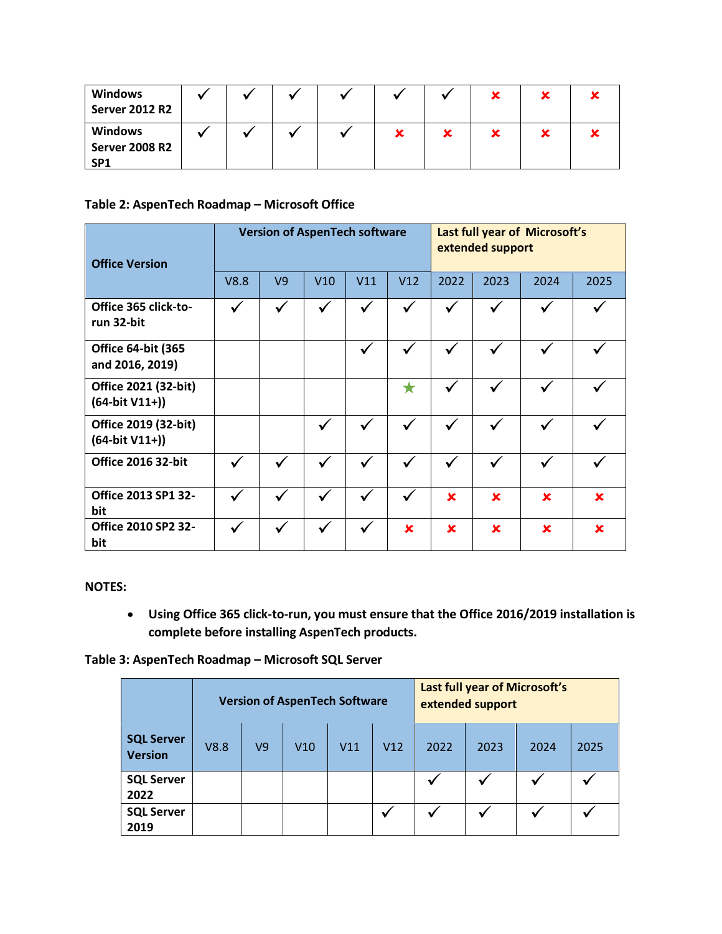| <b>Windows</b><br><b>Server 2012 R2</b>                    |  |  |  |  |  |
|------------------------------------------------------------|--|--|--|--|--|
| <b>Windows</b><br><b>Server 2008 R2</b><br>SP <sub>1</sub> |  |  |  |  |  |

## **Table 2: AspenTech Roadmap – Microsoft Office**

| <b>Office Version</b>                        |              |                | <b>Version of AspenTech software</b> |                         | Last full year of Microsoft's<br>extended support |              |              |             |      |
|----------------------------------------------|--------------|----------------|--------------------------------------|-------------------------|---------------------------------------------------|--------------|--------------|-------------|------|
|                                              | V8.8         | V <sub>9</sub> | V10                                  | V11                     | V12                                               | 2022         | 2023         | 2024        | 2025 |
| Office 365 click-to-<br>run 32-bit           | ✔            |                |                                      |                         |                                                   |              |              |             |      |
| <b>Office 64-bit (365</b><br>and 2016, 2019) |              |                |                                      | v                       |                                                   |              |              |             |      |
| Office 2021 (32-bit)<br>$(64-bit V11+)$      |              |                |                                      |                         |                                                   |              |              |             |      |
| Office 2019 (32-bit)<br>$(64-bit V11+)$      |              |                | $\checkmark$                         | V                       | $\checkmark$                                      | $\checkmark$ | $\checkmark$ | ✓           |      |
| <b>Office 2016 32-bit</b>                    | $\checkmark$ |                |                                      |                         |                                                   |              |              |             |      |
| <b>Office 2013 SP1 32-</b><br>bit            | $\checkmark$ |                |                                      | $\overline{\mathbf{v}}$ | √                                                 | $\mathbf x$  | $\mathbf x$  | $\mathbf x$ | ×    |
| <b>Office 2010 SP2 32-</b><br>bit            |              |                |                                      |                         | ×                                                 | $\mathbf x$  | $\mathbf x$  | $\mathbf x$ | ×    |

#### **NOTES:**

• **Using Office 365 click-to-run, you must ensure that the Office 2016/2019 installation is complete before installing AspenTech products.**

**Table 3: AspenTech Roadmap – Microsoft SQL Server**

|                                     |      |                | <b>Version of AspenTech Software</b> |     | Last full year of Microsoft's<br>extended support |      |      |      |      |
|-------------------------------------|------|----------------|--------------------------------------|-----|---------------------------------------------------|------|------|------|------|
| <b>SQL Server</b><br><b>Version</b> | V8.8 | V <sub>9</sub> | V10                                  | V11 | V12                                               | 2022 | 2023 | 2024 | 2025 |
| <b>SQL Server</b><br>2022           |      |                |                                      |     |                                                   | v    |      |      |      |
| <b>SQL Server</b><br>2019           |      |                |                                      |     |                                                   | v    |      |      |      |